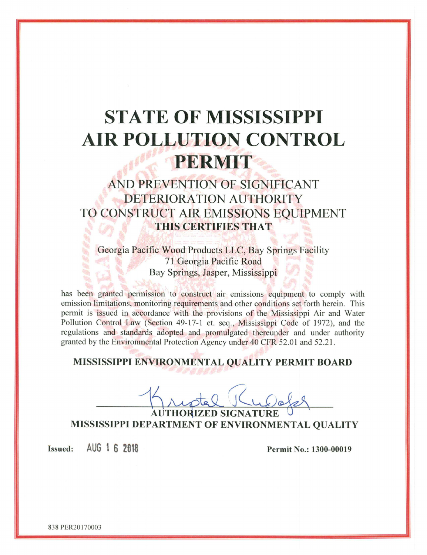# **STATE OF MISSISSIPPI AIR POLLUTION CONTROL** PERMIT

## AND PREVENTION OF SIGNIFICANT DETERIORATION AUTHORITY TO CONSTRUCT AIR EMISSIONS EOUIPMENT THIS CERTIFIES THAT

Georgia Pacific Wood Products LLC, Bay Springs Facility 71 Georgia Pacific Road Bay Springs, Jasper, Mississippi

has been granted permission to construct air emissions equipment to comply with emission limitations, monitoring requirements and other conditions set forth herein. This permit is issued in accordance with the provisions of the Mississippi Air and Water Pollution Control Law (Section 49-17-1 et. seq., Mississippi Code of 1972), and the regulations and standards adopted and promulgated thereunder and under authority granted by the Environmental Protection Agency under 40 CFR 52.01 and 52.21.

### MISSISSIPPI ENVIRONMENTAL QUALITY PERMIT BOARD

**AUTHORIZED SIGNATURE** MISSISSIPPI DEPARTMENT OF ENVIRONMENTAL QUALITY

AUG 1 6 2018 **Issued:** 

Permit No.: 1300-00019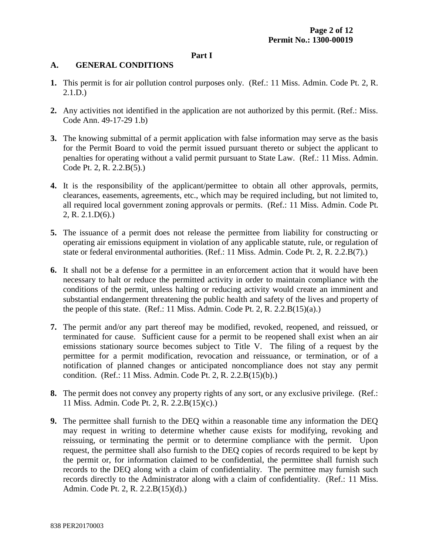#### **Part I**

#### **A. GENERAL CONDITIONS**

- **1.** This permit is for air pollution control purposes only. (Ref.: 11 Miss. Admin. Code Pt. 2, R. 2.1.D.)
- **2.** Any activities not identified in the application are not authorized by this permit. (Ref.: Miss. Code Ann. 49-17-29 1.b)
- **3.** The knowing submittal of a permit application with false information may serve as the basis for the Permit Board to void the permit issued pursuant thereto or subject the applicant to penalties for operating without a valid permit pursuant to State Law. (Ref.: 11 Miss. Admin. Code Pt. 2, R. 2.2.B(5).)
- **4.** It is the responsibility of the applicant/permittee to obtain all other approvals, permits, clearances, easements, agreements, etc., which may be required including, but not limited to, all required local government zoning approvals or permits. (Ref.: 11 Miss. Admin. Code Pt. 2, R. 2.1.D(6).)
- **5.** The issuance of a permit does not release the permittee from liability for constructing or operating air emissions equipment in violation of any applicable statute, rule, or regulation of state or federal environmental authorities. (Ref.: 11 Miss. Admin. Code Pt. 2, R. 2.2.B(7).)
- **6.** It shall not be a defense for a permittee in an enforcement action that it would have been necessary to halt or reduce the permitted activity in order to maintain compliance with the conditions of the permit, unless halting or reducing activity would create an imminent and substantial endangerment threatening the public health and safety of the lives and property of the people of this state. (Ref.: 11 Miss. Admin. Code Pt. 2, R. 2.2. $B(15)(a)$ .)
- **7.** The permit and/or any part thereof may be modified, revoked, reopened, and reissued, or terminated for cause. Sufficient cause for a permit to be reopened shall exist when an air emissions stationary source becomes subject to Title V. The filing of a request by the permittee for a permit modification, revocation and reissuance, or termination, or of a notification of planned changes or anticipated noncompliance does not stay any permit condition. (Ref.: 11 Miss. Admin. Code Pt. 2, R. 2.2.B(15)(b).)
- **8.** The permit does not convey any property rights of any sort, or any exclusive privilege. (Ref.: 11 Miss. Admin. Code Pt. 2, R. 2.2.B(15)(c).)
- **9.** The permittee shall furnish to the DEQ within a reasonable time any information the DEQ may request in writing to determine whether cause exists for modifying, revoking and reissuing, or terminating the permit or to determine compliance with the permit. Upon request, the permittee shall also furnish to the DEQ copies of records required to be kept by the permit or, for information claimed to be confidential, the permittee shall furnish such records to the DEQ along with a claim of confidentiality. The permittee may furnish such records directly to the Administrator along with a claim of confidentiality. (Ref.: 11 Miss. Admin. Code Pt. 2, R. 2.2.B(15)(d).)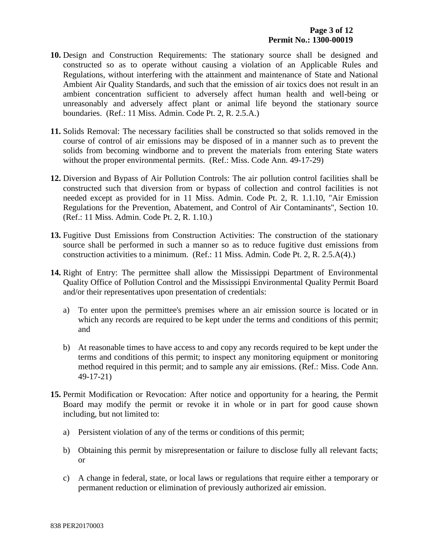- **10.** Design and Construction Requirements: The stationary source shall be designed and constructed so as to operate without causing a violation of an Applicable Rules and Regulations, without interfering with the attainment and maintenance of State and National Ambient Air Quality Standards, and such that the emission of air toxics does not result in an ambient concentration sufficient to adversely affect human health and well-being or unreasonably and adversely affect plant or animal life beyond the stationary source boundaries. (Ref.: 11 Miss. Admin. Code Pt. 2, R. 2.5.A.)
- **11.** Solids Removal: The necessary facilities shall be constructed so that solids removed in the course of control of air emissions may be disposed of in a manner such as to prevent the solids from becoming windborne and to prevent the materials from entering State waters without the proper environmental permits. (Ref.: Miss. Code Ann. 49-17-29)
- **12.** Diversion and Bypass of Air Pollution Controls: The air pollution control facilities shall be constructed such that diversion from or bypass of collection and control facilities is not needed except as provided for in 11 Miss. Admin. Code Pt. 2, R. 1.1.10, "Air Emission Regulations for the Prevention, Abatement, and Control of Air Contaminants", Section 10. (Ref.: 11 Miss. Admin. Code Pt. 2, R. 1.10.)
- **13.** Fugitive Dust Emissions from Construction Activities: The construction of the stationary source shall be performed in such a manner so as to reduce fugitive dust emissions from construction activities to a minimum. (Ref.: 11 Miss. Admin. Code Pt. 2, R. 2.5.A(4).)
- **14.** Right of Entry: The permittee shall allow the Mississippi Department of Environmental Quality Office of Pollution Control and the Mississippi Environmental Quality Permit Board and/or their representatives upon presentation of credentials:
	- a) To enter upon the permittee's premises where an air emission source is located or in which any records are required to be kept under the terms and conditions of this permit; and
	- b) At reasonable times to have access to and copy any records required to be kept under the terms and conditions of this permit; to inspect any monitoring equipment or monitoring method required in this permit; and to sample any air emissions. (Ref.: Miss. Code Ann. 49-17-21)
- **15.** Permit Modification or Revocation: After notice and opportunity for a hearing, the Permit Board may modify the permit or revoke it in whole or in part for good cause shown including, but not limited to:
	- a) Persistent violation of any of the terms or conditions of this permit;
	- b) Obtaining this permit by misrepresentation or failure to disclose fully all relevant facts; or
	- c) A change in federal, state, or local laws or regulations that require either a temporary or permanent reduction or elimination of previously authorized air emission.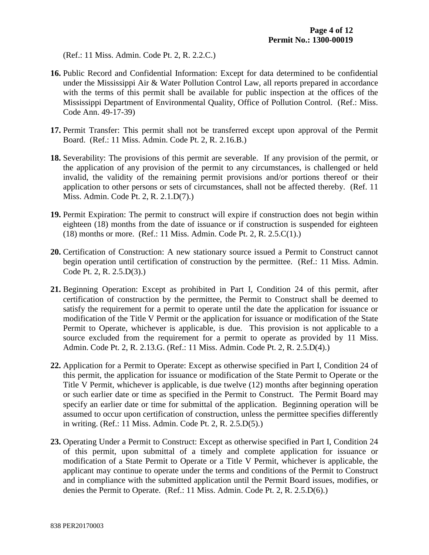(Ref.: 11 Miss. Admin. Code Pt. 2, R. 2.2.C.)

- **16.** Public Record and Confidential Information: Except for data determined to be confidential under the Mississippi Air & Water Pollution Control Law, all reports prepared in accordance with the terms of this permit shall be available for public inspection at the offices of the Mississippi Department of Environmental Quality, Office of Pollution Control. (Ref.: Miss. Code Ann. 49-17-39)
- **17.** Permit Transfer: This permit shall not be transferred except upon approval of the Permit Board. (Ref.: 11 Miss. Admin. Code Pt. 2, R. 2.16.B.)
- **18.** Severability: The provisions of this permit are severable. If any provision of the permit, or the application of any provision of the permit to any circumstances, is challenged or held invalid, the validity of the remaining permit provisions and/or portions thereof or their application to other persons or sets of circumstances, shall not be affected thereby. (Ref. 11 Miss. Admin. Code Pt. 2, R. 2.1.D(7).)
- **19.** Permit Expiration: The permit to construct will expire if construction does not begin within eighteen (18) months from the date of issuance or if construction is suspended for eighteen (18) months or more. (Ref.: 11 Miss. Admin. Code Pt. 2, R. 2.5.C(1).)
- **20.** Certification of Construction: A new stationary source issued a Permit to Construct cannot begin operation until certification of construction by the permittee. (Ref.: 11 Miss. Admin. Code Pt. 2, R. 2.5.D(3).)
- **21.** Beginning Operation: Except as prohibited in Part I, Condition 24 of this permit, after certification of construction by the permittee, the Permit to Construct shall be deemed to satisfy the requirement for a permit to operate until the date the application for issuance or modification of the Title V Permit or the application for issuance or modification of the State Permit to Operate, whichever is applicable, is due. This provision is not applicable to a source excluded from the requirement for a permit to operate as provided by 11 Miss. Admin. Code Pt. 2, R. 2.13.G. (Ref.: 11 Miss. Admin. Code Pt. 2, R. 2.5.D(4).)
- **22.** Application for a Permit to Operate: Except as otherwise specified in Part I, Condition 24 of this permit, the application for issuance or modification of the State Permit to Operate or the Title V Permit, whichever is applicable, is due twelve (12) months after beginning operation or such earlier date or time as specified in the Permit to Construct. The Permit Board may specify an earlier date or time for submittal of the application. Beginning operation will be assumed to occur upon certification of construction, unless the permittee specifies differently in writing. (Ref.: 11 Miss. Admin. Code Pt. 2, R. 2.5.D(5).)
- **23.** Operating Under a Permit to Construct: Except as otherwise specified in Part I, Condition 24 of this permit, upon submittal of a timely and complete application for issuance or modification of a State Permit to Operate or a Title V Permit, whichever is applicable, the applicant may continue to operate under the terms and conditions of the Permit to Construct and in compliance with the submitted application until the Permit Board issues, modifies, or denies the Permit to Operate. (Ref.: 11 Miss. Admin. Code Pt. 2, R. 2.5.D(6).)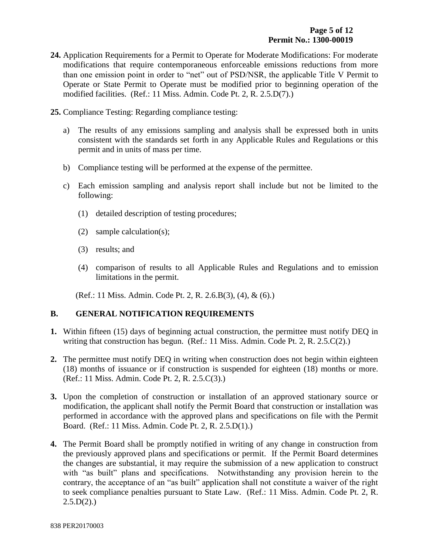- **24.** Application Requirements for a Permit to Operate for Moderate Modifications: For moderate modifications that require contemporaneous enforceable emissions reductions from more than one emission point in order to "net" out of PSD/NSR, the applicable Title V Permit to Operate or State Permit to Operate must be modified prior to beginning operation of the modified facilities. (Ref.: 11 Miss. Admin. Code Pt. 2, R. 2.5.D(7).)
- **25.** Compliance Testing: Regarding compliance testing:
	- a) The results of any emissions sampling and analysis shall be expressed both in units consistent with the standards set forth in any Applicable Rules and Regulations or this permit and in units of mass per time.
	- b) Compliance testing will be performed at the expense of the permittee.
	- c) Each emission sampling and analysis report shall include but not be limited to the following:
		- (1) detailed description of testing procedures;
		- (2) sample calculation(s);
		- (3) results; and
		- (4) comparison of results to all Applicable Rules and Regulations and to emission limitations in the permit.

(Ref.: 11 Miss. Admin. Code Pt. 2, R. 2.6.B(3), (4), & (6).)

#### **B. GENERAL NOTIFICATION REQUIREMENTS**

- **1.** Within fifteen (15) days of beginning actual construction, the permittee must notify DEQ in writing that construction has begun. (Ref.: 11 Miss. Admin. Code Pt. 2, R. 2.5.C(2).)
- **2.** The permittee must notify DEQ in writing when construction does not begin within eighteen (18) months of issuance or if construction is suspended for eighteen (18) months or more. (Ref.: 11 Miss. Admin. Code Pt. 2, R. 2.5.C(3).)
- **3.** Upon the completion of construction or installation of an approved stationary source or modification, the applicant shall notify the Permit Board that construction or installation was performed in accordance with the approved plans and specifications on file with the Permit Board. (Ref.: 11 Miss. Admin. Code Pt. 2, R. 2.5.D(1).)
- **4.** The Permit Board shall be promptly notified in writing of any change in construction from the previously approved plans and specifications or permit. If the Permit Board determines the changes are substantial, it may require the submission of a new application to construct with "as built" plans and specifications. Notwithstanding any provision herein to the contrary, the acceptance of an "as built" application shall not constitute a waiver of the right to seek compliance penalties pursuant to State Law. (Ref.: 11 Miss. Admin. Code Pt. 2, R.  $2.5.D(2)$ .)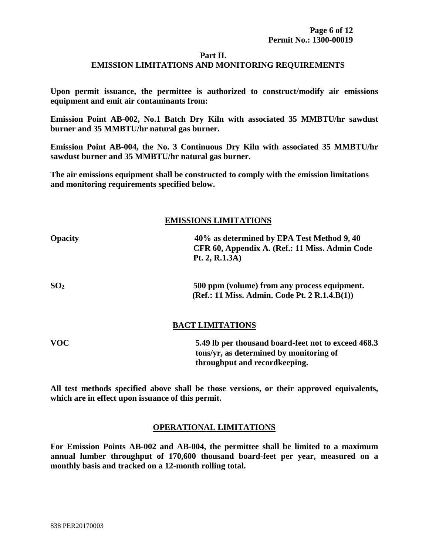#### **Part II.**

#### **EMISSION LIMITATIONS AND MONITORING REQUIREMENTS**

**Upon permit issuance, the permittee is authorized to construct/modify air emissions equipment and emit air contaminants from:**

**Emission Point AB-002, No.1 Batch Dry Kiln with associated 35 MMBTU/hr sawdust burner and 35 MMBTU/hr natural gas burner.**

**Emission Point AB-004, the No. 3 Continuous Dry Kiln with associated 35 MMBTU/hr sawdust burner and 35 MMBTU/hr natural gas burner.**

**The air emissions equipment shall be constructed to comply with the emission limitations and monitoring requirements specified below.**

#### **EMISSIONS LIMITATIONS**

| <b>Opacity</b>  | 40% as determined by EPA Test Method 9, 40<br>CFR 60, Appendix A. (Ref.: 11 Miss. Admin Code<br>Pt. 2, R.1.3A) |
|-----------------|----------------------------------------------------------------------------------------------------------------|
| SO <sub>2</sub> | 500 ppm (volume) from any process equipment.                                                                   |

#### **BACT LIMITATIONS**

**(Ref.: 11 Miss. Admin. Code Pt. 2 R.1.4.B(1))**

| <b>VOC</b> | 5.49 lb per thousand board-feet not to exceed 468.3 |
|------------|-----------------------------------------------------|
|            | tons/yr, as determined by monitoring of             |
|            | throughput and record keeping.                      |

**All test methods specified above shall be those versions, or their approved equivalents, which are in effect upon issuance of this permit.**

#### **OPERATIONAL LIMITATIONS**

**For Emission Points AB-002 and AB-004, the permittee shall be limited to a maximum annual lumber throughput of 170,600 thousand board-feet per year, measured on a monthly basis and tracked on a 12-month rolling total.**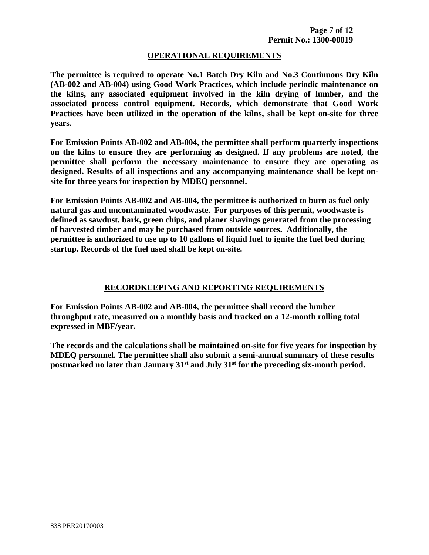#### **OPERATIONAL REQUIREMENTS**

**The permittee is required to operate No.1 Batch Dry Kiln and No.3 Continuous Dry Kiln (AB-002 and AB-004) using Good Work Practices, which include periodic maintenance on the kilns, any associated equipment involved in the kiln drying of lumber, and the associated process control equipment. Records, which demonstrate that Good Work Practices have been utilized in the operation of the kilns, shall be kept on-site for three years.** 

**For Emission Points AB-002 and AB-004, the permittee shall perform quarterly inspections on the kilns to ensure they are performing as designed. If any problems are noted, the permittee shall perform the necessary maintenance to ensure they are operating as designed. Results of all inspections and any accompanying maintenance shall be kept onsite for three years for inspection by MDEQ personnel.**

**For Emission Points AB-002 and AB-004, the permittee is authorized to burn as fuel only natural gas and uncontaminated woodwaste. For purposes of this permit, woodwaste is defined as sawdust, bark, green chips, and planer shavings generated from the processing of harvested timber and may be purchased from outside sources. Additionally, the permittee is authorized to use up to 10 gallons of liquid fuel to ignite the fuel bed during startup. Records of the fuel used shall be kept on-site.**

#### **RECORDKEEPING AND REPORTING REQUIREMENTS**

**For Emission Points AB-002 and AB-004, the permittee shall record the lumber throughput rate, measured on a monthly basis and tracked on a 12-month rolling total expressed in MBF/year.**

**The records and the calculations shall be maintained on-site for five years for inspection by MDEQ personnel. The permittee shall also submit a semi-annual summary of these results postmarked no later than January 31st and July 31st for the preceding six-month period.**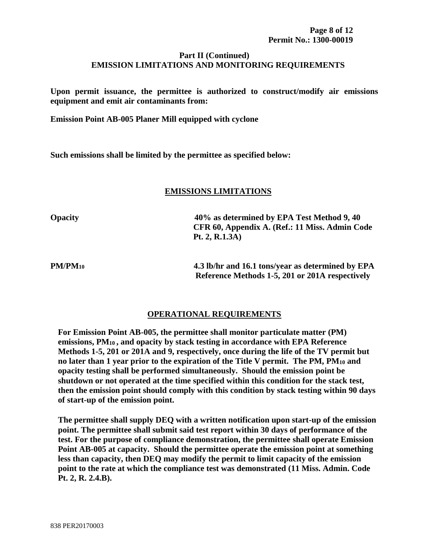#### **Part II (Continued) EMISSION LIMITATIONS AND MONITORING REQUIREMENTS**

**Upon permit issuance, the permittee is authorized to construct/modify air emissions equipment and emit air contaminants from:**

**Emission Point AB-005 Planer Mill equipped with cyclone**

**Such emissions shall be limited by the permittee as specified below:**

#### **EMISSIONS LIMITATIONS**

**Opacity 40% as determined by EPA Test Method 9, 40 CFR 60, Appendix A. (Ref.: 11 Miss. Admin Code Pt. 2, R.1.3A)**

**PM/PM10 4.3 lb/hr and 16.1 tons/year as determined by EPA Reference Methods 1-5, 201 or 201A respectively**

#### **OPERATIONAL REQUIREMENTS**

**For Emission Point AB-005, the permittee shall monitor particulate matter (PM) emissions, PM10 , and opacity by stack testing in accordance with EPA Reference Methods 1-5, 201 or 201A and 9, respectively, once during the life of the TV permit but no later than 1 year prior to the expiration of the Title V permit. The PM, PM<sup>10</sup> and opacity testing shall be performed simultaneously. Should the emission point be shutdown or not operated at the time specified within this condition for the stack test, then the emission point should comply with this condition by stack testing within 90 days of start-up of the emission point.** 

**The permittee shall supply DEQ with a written notification upon start-up of the emission point. The permittee shall submit said test report within 30 days of performance of the test. For the purpose of compliance demonstration, the permittee shall operate Emission Point AB-005 at capacity. Should the permittee operate the emission point at something less than capacity, then DEQ may modify the permit to limit capacity of the emission point to the rate at which the compliance test was demonstrated (11 Miss. Admin. Code Pt. 2, R. 2.4.B).**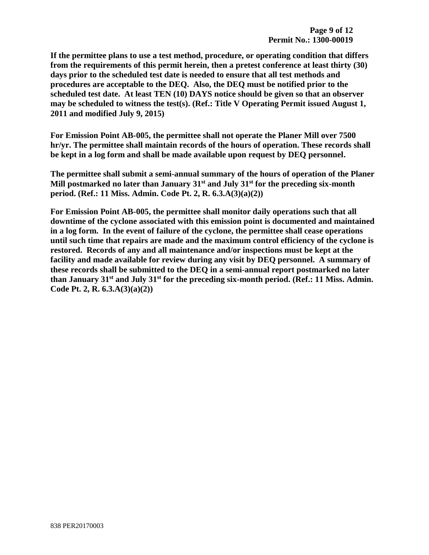**If the permittee plans to use a test method, procedure, or operating condition that differs from the requirements of this permit herein, then a pretest conference at least thirty (30) days prior to the scheduled test date is needed to ensure that all test methods and procedures are acceptable to the DEQ. Also, the DEQ must be notified prior to the scheduled test date. At least TEN (10) DAYS notice should be given so that an observer may be scheduled to witness the test(s). (Ref.: Title V Operating Permit issued August 1, 2011 and modified July 9, 2015)**

**For Emission Point AB-005, the permittee shall not operate the Planer Mill over 7500 hr/yr. The permittee shall maintain records of the hours of operation. These records shall be kept in a log form and shall be made available upon request by DEQ personnel.** 

**The permittee shall submit a semi-annual summary of the hours of operation of the Planer Mill postmarked no later than January 31st and July 31st for the preceding six-month period. (Ref.: 11 Miss. Admin. Code Pt. 2, R. 6.3.A(3)(a)(2))**

**For Emission Point AB-005, the permittee shall monitor daily operations such that all downtime of the cyclone associated with this emission point is documented and maintained in a log form. In the event of failure of the cyclone, the permittee shall cease operations until such time that repairs are made and the maximum control efficiency of the cyclone is restored. Records of any and all maintenance and/or inspections must be kept at the facility and made available for review during any visit by DEQ personnel. A summary of these records shall be submitted to the DEQ in a semi-annual report postmarked no later than January 31st and July 31st for the preceding six-month period. (Ref.: 11 Miss. Admin. Code Pt. 2, R. 6.3.A(3)(a)(2))**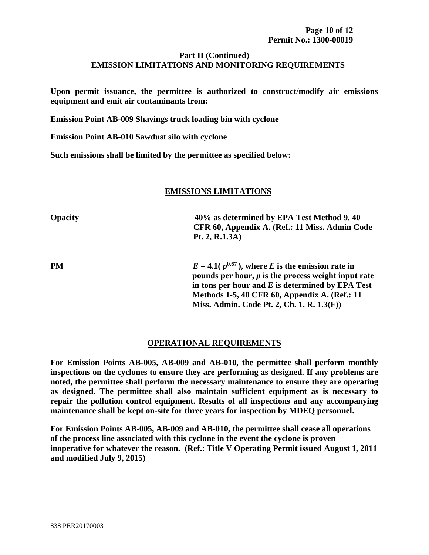#### **Part II (Continued) EMISSION LIMITATIONS AND MONITORING REQUIREMENTS**

**Upon permit issuance, the permittee is authorized to construct/modify air emissions equipment and emit air contaminants from:** 

**Emission Point AB-009 Shavings truck loading bin with cyclone**

**Emission Point AB-010 Sawdust silo with cyclone**

**Such emissions shall be limited by the permittee as specified below:**

#### **EMISSIONS LIMITATIONS**

**Opacity 40% as determined by EPA Test Method 9, 40** 

 **Pt. 2, R.1.3A)**

**PM**  $E = 4.1(p^{0.67})$ , where *E* is the emission rate in **pounds per hour,** *p* **is the process weight input rate in tons per hour and** *E* **is determined by EPA Test Methods 1-5, 40 CFR 60, Appendix A. (Ref.: 11 Miss. Admin. Code Pt. 2, Ch. 1. R. 1.3(F))**

 **CFR 60, Appendix A. (Ref.: 11 Miss. Admin Code** 

#### **OPERATIONAL REQUIREMENTS**

**For Emission Points AB-005, AB-009 and AB-010, the permittee shall perform monthly inspections on the cyclones to ensure they are performing as designed. If any problems are noted, the permittee shall perform the necessary maintenance to ensure they are operating as designed. The permittee shall also maintain sufficient equipment as is necessary to repair the pollution control equipment. Results of all inspections and any accompanying maintenance shall be kept on-site for three years for inspection by MDEQ personnel.**

**For Emission Points AB-005, AB-009 and AB-010, the permittee shall cease all operations of the process line associated with this cyclone in the event the cyclone is proven inoperative for whatever the reason. (Ref.: Title V Operating Permit issued August 1, 2011 and modified July 9, 2015)**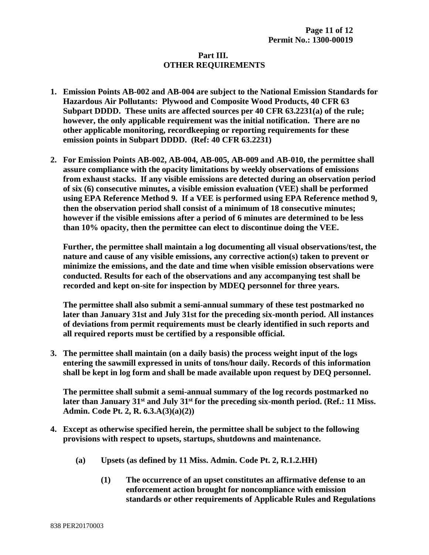#### **Part III. OTHER REQUIREMENTS**

- **1. Emission Points AB-002 and AB-004 are subject to the National Emission Standards for Hazardous Air Pollutants: Plywood and Composite Wood Products, 40 CFR 63 Subpart DDDD. These units are affected sources per 40 CFR 63.2231(a) of the rule; however, the only applicable requirement was the initial notification. There are no other applicable monitoring, recordkeeping or reporting requirements for these emission points in Subpart DDDD. (Ref: 40 CFR 63.2231)**
- **2. For Emission Points AB-002, AB-004, AB-005, AB-009 and AB-010, the permittee shall assure compliance with the opacity limitations by weekly observations of emissions from exhaust stacks. If any visible emissions are detected during an observation period of six (6) consecutive minutes, a visible emission evaluation (VEE) shall be performed using EPA Reference Method 9. If a VEE is performed using EPA Reference method 9, then the observation period shall consist of a minimum of 18 consecutive minutes; however if the visible emissions after a period of 6 minutes are determined to be less than 10% opacity, then the permittee can elect to discontinue doing the VEE.**

**Further, the permittee shall maintain a log documenting all visual observations/test, the nature and cause of any visible emissions, any corrective action(s) taken to prevent or minimize the emissions, and the date and time when visible emission observations were conducted. Results for each of the observations and any accompanying test shall be recorded and kept on-site for inspection by MDEQ personnel for three years.** 

**The permittee shall also submit a semi-annual summary of these test postmarked no later than January 31st and July 31st for the preceding six-month period. All instances of deviations from permit requirements must be clearly identified in such reports and all required reports must be certified by a responsible official.**

**3. The permittee shall maintain (on a daily basis) the process weight input of the logs entering the sawmill expressed in units of tons/hour daily. Records of this information shall be kept in log form and shall be made available upon request by DEQ personnel.** 

**The permittee shall submit a semi-annual summary of the log records postmarked no later than January 31st and July 31st for the preceding six-month period. (Ref.: 11 Miss. Admin. Code Pt. 2, R. 6.3.A(3)(a)(2))**

- **4. Except as otherwise specified herein, the permittee shall be subject to the following provisions with respect to upsets, startups, shutdowns and maintenance.**
	- **(a) Upsets (as defined by 11 Miss. Admin. Code Pt. 2, R.1.2.HH)**
		- **(1) The occurrence of an upset constitutes an affirmative defense to an enforcement action brought for noncompliance with emission standards or other requirements of Applicable Rules and Regulations**